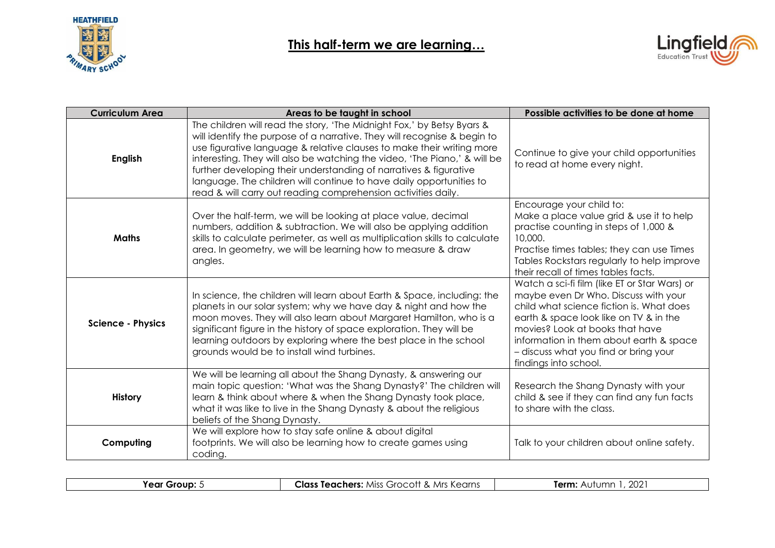



| <b>Curriculum Area</b>   | Areas to be taught in school                                                                                                                                                                                                                                                                                                                                                                                                                                                                                          | Possible activities to be done at home                                                                                                                                                                                                                                                                                      |
|--------------------------|-----------------------------------------------------------------------------------------------------------------------------------------------------------------------------------------------------------------------------------------------------------------------------------------------------------------------------------------------------------------------------------------------------------------------------------------------------------------------------------------------------------------------|-----------------------------------------------------------------------------------------------------------------------------------------------------------------------------------------------------------------------------------------------------------------------------------------------------------------------------|
| <b>English</b>           | The children will read the story, 'The Midnight Fox,' by Betsy Byars &<br>will identify the purpose of a narrative. They will recognise & begin to<br>use figurative language & relative clauses to make their writing more<br>interesting. They will also be watching the video, 'The Piano,' & will be<br>further developing their understanding of narratives & figurative<br>language. The children will continue to have daily opportunities to<br>read & will carry out reading comprehension activities daily. | Continue to give your child opportunities<br>to read at home every night.                                                                                                                                                                                                                                                   |
| <b>Maths</b>             | Over the half-term, we will be looking at place value, decimal<br>numbers, addition & subtraction. We will also be applying addition<br>skills to calculate perimeter, as well as multiplication skills to calculate<br>area. In geometry, we will be learning how to measure & draw<br>angles.                                                                                                                                                                                                                       | Encourage your child to:<br>Make a place value grid & use it to help<br>practise counting in steps of 1,000 &<br>10,000.<br>Practise times tables; they can use Times<br>Tables Rockstars regularly to help improve<br>their recall of times tables facts.                                                                  |
| <b>Science - Physics</b> | In science, the children will learn about Earth & Space, including: the<br>planets in our solar system; why we have day & night and how the<br>moon moves. They will also learn about Margaret Hamilton, who is a<br>significant figure in the history of space exploration. They will be<br>learning outdoors by exploring where the best place in the school<br>grounds would be to install wind turbines.                                                                                                          | Watch a sci-fi film (like ET or Star Wars) or<br>maybe even Dr Who. Discuss with your<br>child what science fiction is. What does<br>earth & space look like on TV & in the<br>movies? Look at books that have<br>information in them about earth & space<br>- discuss what you find or bring your<br>findings into school. |
| <b>History</b>           | We will be learning all about the Shang Dynasty, & answering our<br>main topic question: 'What was the Shang Dynasty?' The children will<br>learn & think about where & when the Shang Dynasty took place,<br>what it was like to live in the Shang Dynasty & about the religious<br>beliefs of the Shang Dynasty.                                                                                                                                                                                                    | Research the Shang Dynasty with your<br>child & see if they can find any fun facts<br>to share with the class.                                                                                                                                                                                                              |
| Computing                | We will explore how to stay safe online & about digital<br>footprints. We will also be learning how to create games using<br>coding.                                                                                                                                                                                                                                                                                                                                                                                  | Talk to your children about online safety.                                                                                                                                                                                                                                                                                  |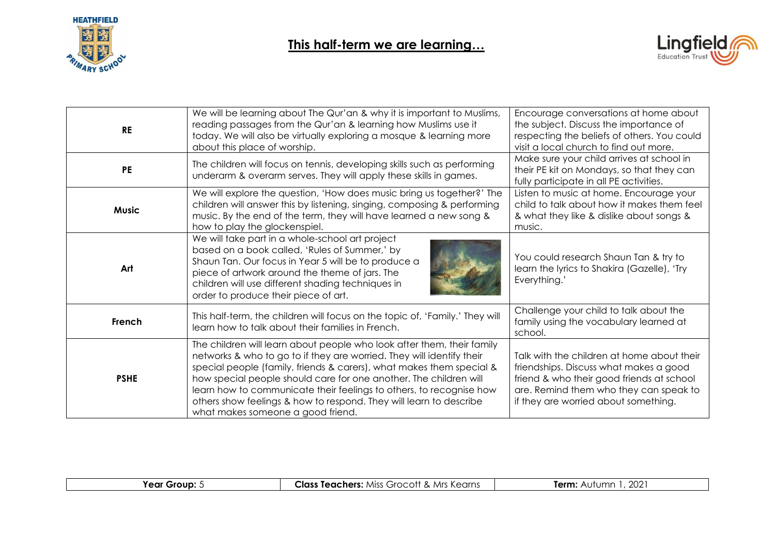



| <b>RE</b>    | We will be learning about The Qur'an & why it is important to Muslims,<br>reading passages from the Qur'an & learning how Muslims use it<br>today. We will also be virtually exploring a mosque & learning more<br>about this place of worship.                                                                                                                                                                                                                                | Encourage conversations at home about<br>the subject. Discuss the importance of<br>respecting the beliefs of others. You could<br>visit a local church to find out more.                                            |
|--------------|--------------------------------------------------------------------------------------------------------------------------------------------------------------------------------------------------------------------------------------------------------------------------------------------------------------------------------------------------------------------------------------------------------------------------------------------------------------------------------|---------------------------------------------------------------------------------------------------------------------------------------------------------------------------------------------------------------------|
| <b>PE</b>    | The children will focus on tennis, developing skills such as performing<br>underarm & overarm serves. They will apply these skills in games.                                                                                                                                                                                                                                                                                                                                   | Make sure your child arrives at school in<br>their PE kit on Mondays, so that they can<br>fully participate in all PE activities.                                                                                   |
| <b>Music</b> | We will explore the question, 'How does music bring us together?' The<br>children will answer this by listening, singing, composing & performing<br>music. By the end of the term, they will have learned a new song &<br>how to play the glockenspiel.                                                                                                                                                                                                                        | Listen to music at home. Encourage your<br>child to talk about how it makes them feel<br>& what they like & dislike about songs &<br>music.                                                                         |
| Art          | We will take part in a whole-school art project<br>based on a book called, 'Rules of Summer,' by<br>Shaun Tan. Our focus in Year 5 will be to produce a<br>piece of artwork around the theme of jars. The<br>children will use different shading techniques in<br>order to produce their piece of art.                                                                                                                                                                         | You could research Shaun Tan & try to<br>learn the lyrics to Shakira (Gazelle), 'Try<br>Everything.'                                                                                                                |
| French       | This half-term, the children will focus on the topic of, 'Family.' They will<br>learn how to talk about their families in French.                                                                                                                                                                                                                                                                                                                                              | Challenge your child to talk about the<br>family using the vocabulary learned at<br>school.                                                                                                                         |
| <b>PSHE</b>  | The children will learn about people who look after them, their family<br>networks & who to go to if they are worried. They will identify their<br>special people (family, friends & carers), what makes them special &<br>how special people should care for one another. The children will<br>learn how to communicate their feelings to others, to recognise how<br>others show feelings & how to respond. They will learn to describe<br>what makes someone a good friend. | Talk with the children at home about their<br>friendships. Discuss what makes a good<br>friend & who their good friends at school<br>are. Remind them who they can speak to<br>if they are worried about something. |

|--|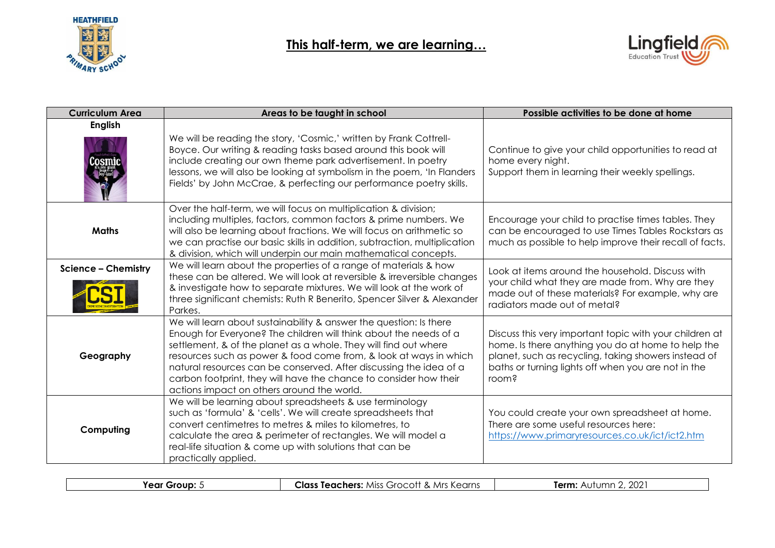



| <b>Curriculum Area</b>     | Areas to be taught in school                                                                                                                                                                                                                                                                                                                                                                                                                                              | Possible activities to be done at home                                                                                                                                                                                                |
|----------------------------|---------------------------------------------------------------------------------------------------------------------------------------------------------------------------------------------------------------------------------------------------------------------------------------------------------------------------------------------------------------------------------------------------------------------------------------------------------------------------|---------------------------------------------------------------------------------------------------------------------------------------------------------------------------------------------------------------------------------------|
| <b>English</b>             | We will be reading the story, 'Cosmic,' written by Frank Cottrell-<br>Boyce. Our writing & reading tasks based around this book will<br>include creating our own theme park advertisement. In poetry<br>lessons, we will also be looking at symbolism in the poem, 'In Flanders<br>Fields' by John McCrae, & perfecting our performance poetry skills.                                                                                                                    | Continue to give your child opportunities to read at<br>home every night.<br>Support them in learning their weekly spellings.                                                                                                         |
| <b>Maths</b>               | Over the half-term, we will focus on multiplication & division;<br>including multiples, factors, common factors & prime numbers. We<br>will also be learning about fractions. We will focus on arithmetic so<br>we can practise our basic skills in addition, subtraction, multiplication<br>& division, which will underpin our main mathematical concepts.                                                                                                              | Encourage your child to practise times tables. They<br>can be encouraged to use Times Tables Rockstars as<br>much as possible to help improve their recall of facts.                                                                  |
| <b>Science - Chemistry</b> | We will learn about the properties of a range of materials & how<br>these can be altered. We will look at reversible & irreversible changes<br>& investigate how to separate mixtures. We will look at the work of<br>three significant chemists: Ruth R Benerito, Spencer Silver & Alexander<br>Parkes.                                                                                                                                                                  | Look at items around the household. Discuss with<br>your child what they are made from. Why are they<br>made out of these materials? For example, why are<br>radiators made out of metal?                                             |
| Geography                  | We will learn about sustainability & answer the question: Is there<br>Enough for Everyone? The children will think about the needs of a<br>settlement, & of the planet as a whole. They will find out where<br>resources such as power & food come from, & look at ways in which<br>natural resources can be conserved. After discussing the idea of a<br>carbon footprint, they will have the chance to consider how their<br>actions impact on others around the world. | Discuss this very important topic with your children at<br>home. Is there anything you do at home to help the<br>planet, such as recycling, taking showers instead of<br>baths or turning lights off when you are not in the<br>room? |
| Computing                  | We will be learning about spreadsheets & use terminology<br>such as 'formula' & 'cells'. We will create spreadsheets that<br>convert centimetres to metres & miles to kilometres, to<br>calculate the area & perimeter of rectangles. We will model a<br>real-life situation & come up with solutions that can be<br>practically applied.                                                                                                                                 | You could create your own spreadsheet at home.<br>There are some useful resources here:<br>https://www.primaryresources.co.uk/ict/ict2.htm                                                                                            |

| Year<br>Grour | Clαs:<br>∩rne<br>Teachers:<br>. Miss<br>Grocott<br>. & Mrs "<br>S VAGILIS | $\sim$<br>Term:<br>. It 1<br>▵<br>∴ ZU∠<br>ונור<br>. |
|---------------|---------------------------------------------------------------------------|------------------------------------------------------|